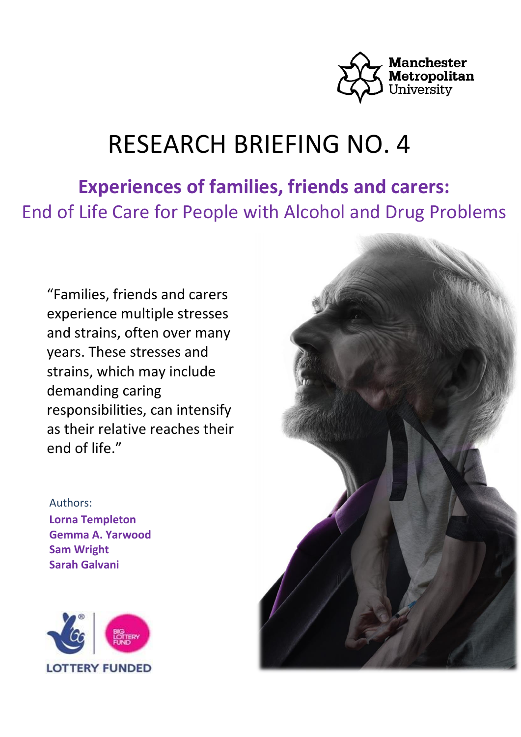

# RESEARCH BRIEFING NO. 4

**Experiences of families, friends and carers:** End of Life Care for People with Alcohol and Drug Problems

"Families, friends and carers experience multiple stresses and strains, often over many years. These stresses and strains, which may include demanding caring responsibilities, can intensify as their relative reaches their end of life."

Authors: **Lorna Templeton Gemma A. Yarwood Sam Wright Sarah Galvani**



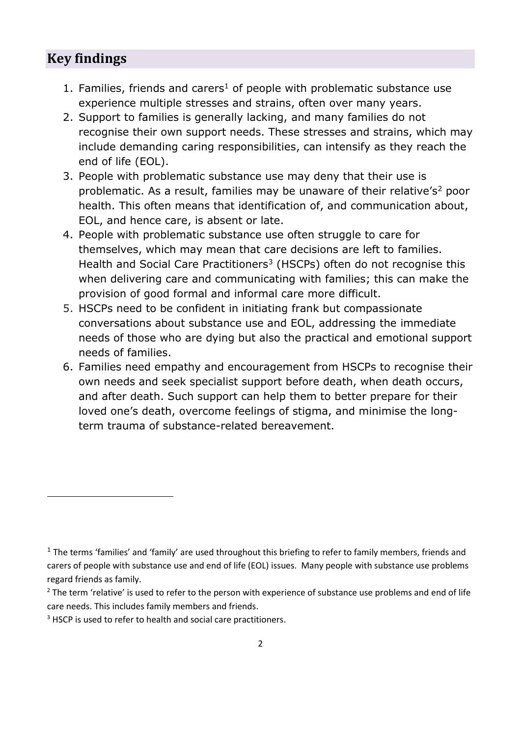## **Key findings**

 $\overline{a}$ 

- 1. Families, friends and carers<sup>1</sup> of people with problematic substance use experience multiple stresses and strains, often over many years.
- 2. Support to families is generally lacking, and many families do not recognise their own support needs. These stresses and strains, which may include demanding caring responsibilities, can intensify as they reach the end of life (EOL).
- 3. People with problematic substance use may deny that their use is problematic. As a result, families may be unaware of their relative's<sup>2</sup> poor health. This often means that identification of, and communication about, EOL, and hence care, is absent or late.
- 4. People with problematic substance use often struggle to care for themselves, which may mean that care decisions are left to families. Health and Social Care Practitioners<sup>3</sup> (HSCPs) often do not recognise this when delivering care and communicating with families; this can make the provision of good formal and informal care more difficult.
- 5. HSCPs need to be confident in initiating frank but compassionate conversations about substance use and EOL, addressing the immediate needs of those who are dying but also the practical and emotional support needs of families.
- 6. Families need empathy and encouragement from HSCPs to recognise their own needs and seek specialist support before death, when death occurs, and after death. Such support can help them to better prepare for their loved one's death, overcome feelings of stigma, and minimise the longterm trauma of substance-related bereavement.

 $1$  The terms 'families' and 'family' are used throughout this briefing to refer to family members, friends and carers of people with substance use and end of life (EOL) issues. Many people with substance use problems regard friends as family.

<sup>&</sup>lt;sup>2</sup> The term 'relative' is used to refer to the person with experience of substance use problems and end of life care needs. This includes family members and friends.

<sup>&</sup>lt;sup>3</sup> HSCP is used to refer to health and social care practitioners.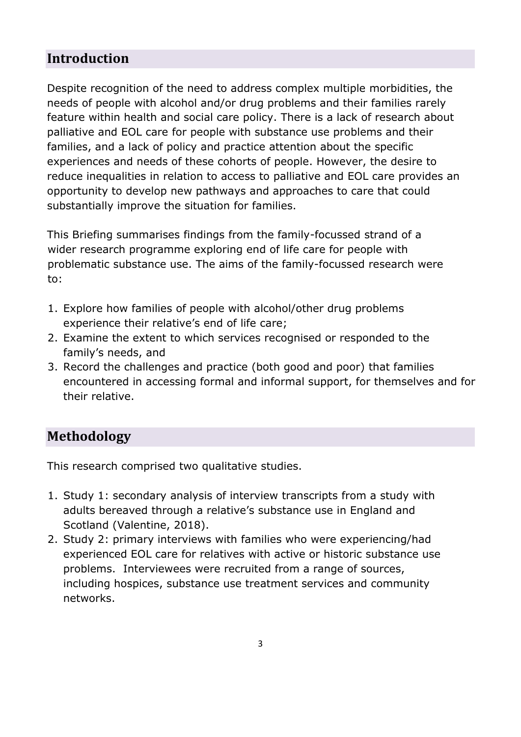# **Introduction**

Despite recognition of the need to address complex multiple morbidities, the needs of people with alcohol and/or drug problems and their families rarely feature within health and social care policy. There is a lack of research about palliative and EOL care for people with substance use problems and their families, and a lack of policy and practice attention about the specific experiences and needs of these cohorts of people. However, the desire to reduce inequalities in relation to access to palliative and EOL care provides an opportunity to develop new pathways and approaches to care that could substantially improve the situation for families.

This Briefing summarises findings from the family-focussed strand of a wider research programme exploring end of life care for people with problematic substance use. The aims of the family-focussed research were to:

- 1. Explore how families of people with alcohol/other drug problems experience their relative's end of life care;
- 2. Examine the extent to which services recognised or responded to the family's needs, and
- 3. Record the challenges and practice (both good and poor) that families encountered in accessing formal and informal support, for themselves and for their relative.

## **Methodology**

This research comprised two qualitative studies.

- 1. Study 1: secondary analysis of interview transcripts from a study with adults bereaved through a relative's substance use in England and Scotland (Valentine, 2018).
- 2. Study 2: primary interviews with families who were experiencing/had experienced EOL care for relatives with active or historic substance use problems. Interviewees were recruited from a range of sources, including hospices, substance use treatment services and community networks.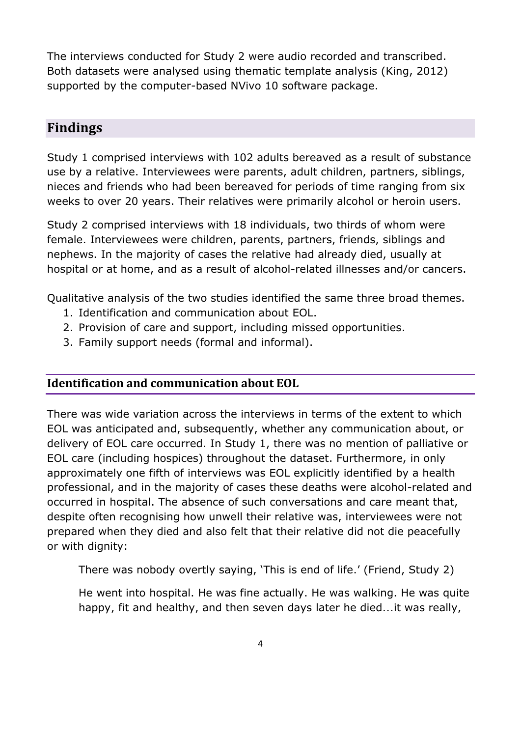The interviews conducted for Study 2 were audio recorded and transcribed. Both datasets were analysed using thematic template analysis (King, 2012) supported by the computer-based NVivo 10 software package.

# **Findings**

Study 1 comprised interviews with 102 adults bereaved as a result of substance use by a relative. Interviewees were parents, adult children, partners, siblings, nieces and friends who had been bereaved for periods of time ranging from six weeks to over 20 years. Their relatives were primarily alcohol or heroin users.

Study 2 comprised interviews with 18 individuals, two thirds of whom were female. Interviewees were children, parents, partners, friends, siblings and nephews. In the majority of cases the relative had already died, usually at hospital or at home, and as a result of alcohol-related illnesses and/or cancers.

Qualitative analysis of the two studies identified the same three broad themes.

- 1. Identification and communication about EOL.
- 2. Provision of care and support, including missed opportunities.
- 3. Family support needs (formal and informal).

### **Identification and communication about EOL**

There was wide variation across the interviews in terms of the extent to which EOL was anticipated and, subsequently, whether any communication about, or delivery of EOL care occurred. In Study 1, there was no mention of palliative or EOL care (including hospices) throughout the dataset. Furthermore, in only approximately one fifth of interviews was EOL explicitly identified by a health professional, and in the majority of cases these deaths were alcohol-related and occurred in hospital. The absence of such conversations and care meant that, despite often recognising how unwell their relative was, interviewees were not prepared when they died and also felt that their relative did not die peacefully or with dignity:

There was nobody overtly saying, 'This is end of life.' (Friend, Study 2)

He went into hospital. He was fine actually. He was walking. He was quite happy, fit and healthy, and then seven days later he died...it was really,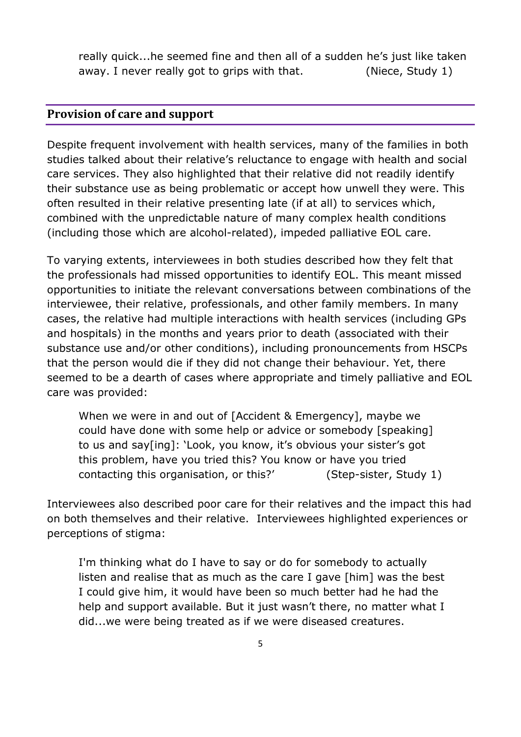really quick...he seemed fine and then all of a sudden he's just like taken away. I never really got to grips with that. (Niece, Study 1)

#### **Provision of care and support**

Despite frequent involvement with health services, many of the families in both studies talked about their relative's reluctance to engage with health and social care services. They also highlighted that their relative did not readily identify their substance use as being problematic or accept how unwell they were. This often resulted in their relative presenting late (if at all) to services which, combined with the unpredictable nature of many complex health conditions (including those which are alcohol-related), impeded palliative EOL care.

To varying extents, interviewees in both studies described how they felt that the professionals had missed opportunities to identify EOL. This meant missed opportunities to initiate the relevant conversations between combinations of the interviewee, their relative, professionals, and other family members. In many cases, the relative had multiple interactions with health services (including GPs and hospitals) in the months and years prior to death (associated with their substance use and/or other conditions), including pronouncements from HSCPs that the person would die if they did not change their behaviour. Yet, there seemed to be a dearth of cases where appropriate and timely palliative and EOL care was provided:

When we were in and out of [Accident & Emergency], maybe we could have done with some help or advice or somebody [speaking] to us and say[ing]: 'Look, you know, it's obvious your sister's got this problem, have you tried this? You know or have you tried contacting this organisation, or this?' (Step-sister, Study 1)

Interviewees also described poor care for their relatives and the impact this had on both themselves and their relative. Interviewees highlighted experiences or perceptions of stigma:

I'm thinking what do I have to say or do for somebody to actually listen and realise that as much as the care I gave [him] was the best I could give him, it would have been so much better had he had the help and support available. But it just wasn't there, no matter what I did...we were being treated as if we were diseased creatures.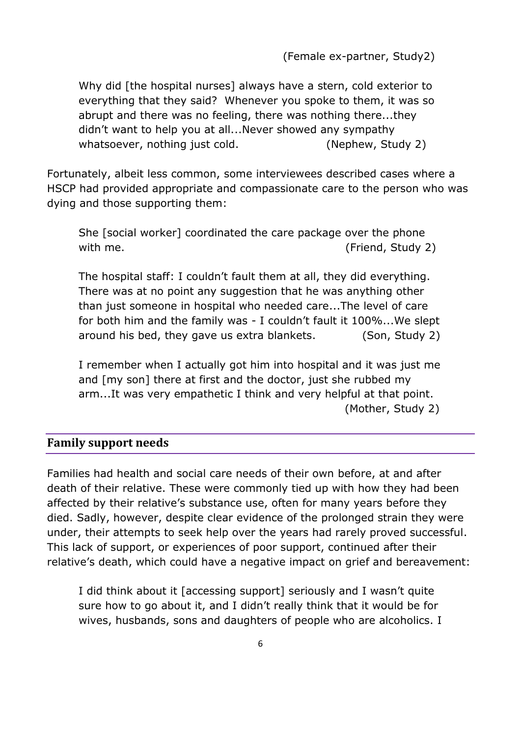(Female ex-partner, Study2)

Why did [the hospital nurses] always have a stern, cold exterior to everything that they said? Whenever you spoke to them, it was so abrupt and there was no feeling, there was nothing there...they didn't want to help you at all...Never showed any sympathy whatsoever, nothing just cold. (Nephew, Study 2)

Fortunately, albeit less common, some interviewees described cases where a HSCP had provided appropriate and compassionate care to the person who was dying and those supporting them:

She [social worker] coordinated the care package over the phone with me.  $($  Friend, Study 2 $)$ 

The hospital staff: I couldn't fault them at all, they did everything. There was at no point any suggestion that he was anything other than just someone in hospital who needed care...The level of care for both him and the family was - I couldn't fault it 100%...We slept around his bed, they gave us extra blankets. (Son, Study 2)

I remember when I actually got him into hospital and it was just me and [my son] there at first and the doctor, just she rubbed my arm...It was very empathetic I think and very helpful at that point. (Mother, Study 2)

#### **Family support needs**

Families had health and social care needs of their own before, at and after death of their relative. These were commonly tied up with how they had been affected by their relative's substance use, often for many years before they died. Sadly, however, despite clear evidence of the prolonged strain they were under, their attempts to seek help over the years had rarely proved successful. This lack of support, or experiences of poor support, continued after their relative's death, which could have a negative impact on grief and bereavement:

I did think about it [accessing support] seriously and I wasn't quite sure how to go about it, and I didn't really think that it would be for wives, husbands, sons and daughters of people who are alcoholics. I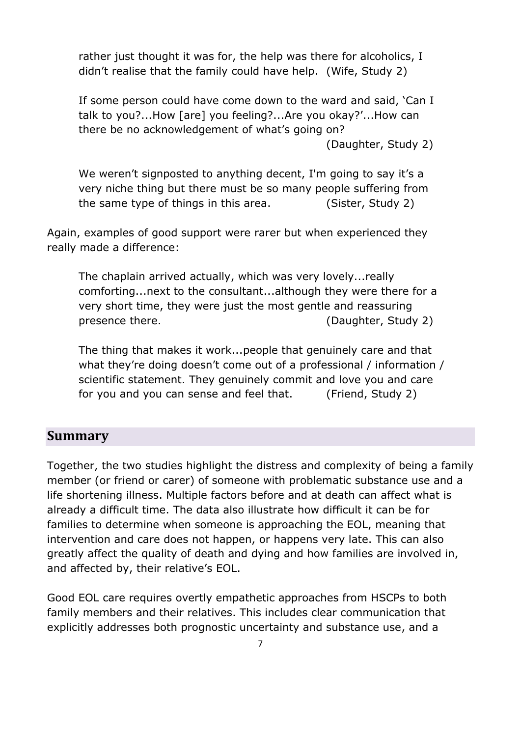rather just thought it was for, the help was there for alcoholics, I didn't realise that the family could have help. (Wife, Study 2)

If some person could have come down to the ward and said, 'Can I talk to you?...How [are] you feeling?...Are you okay?'...How can there be no acknowledgement of what's going on?

(Daughter, Study 2)

We weren't signposted to anything decent, I'm going to say it's a very niche thing but there must be so many people suffering from the same type of things in this area. (Sister, Study 2)

Again, examples of good support were rarer but when experienced they really made a difference:

The chaplain arrived actually, which was very lovely...really comforting...next to the consultant...although they were there for a very short time, they were just the most gentle and reassuring presence there. (Daughter, Study 2)

The thing that makes it work...people that genuinely care and that what they're doing doesn't come out of a professional / information / scientific statement. They genuinely commit and love you and care for you and you can sense and feel that. (Friend, Study 2)

## **Summary**

Together, the two studies highlight the distress and complexity of being a family member (or friend or carer) of someone with problematic substance use and a life shortening illness. Multiple factors before and at death can affect what is already a difficult time. The data also illustrate how difficult it can be for families to determine when someone is approaching the EOL, meaning that intervention and care does not happen, or happens very late. This can also greatly affect the quality of death and dying and how families are involved in, and affected by, their relative's EOL.

Good EOL care requires overtly empathetic approaches from HSCPs to both family members and their relatives. This includes clear communication that explicitly addresses both prognostic uncertainty and substance use, and a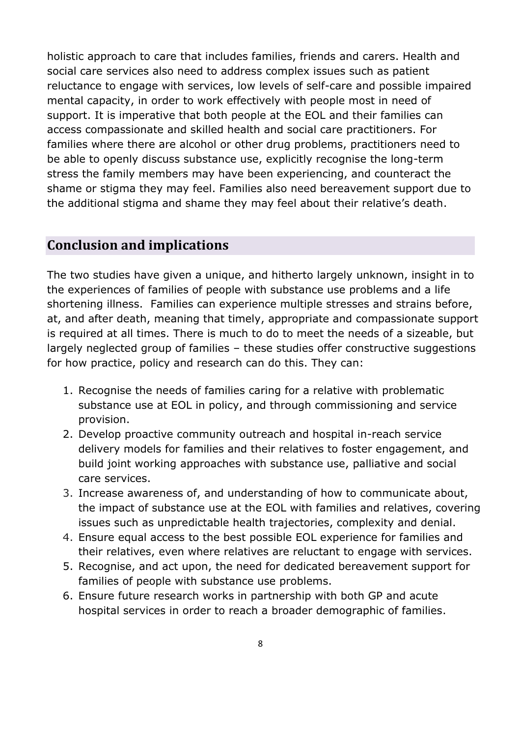holistic approach to care that includes families, friends and carers. Health and social care services also need to address complex issues such as patient reluctance to engage with services, low levels of self-care and possible impaired mental capacity, in order to work effectively with people most in need of support. It is imperative that both people at the EOL and their families can access compassionate and skilled health and social care practitioners. For families where there are alcohol or other drug problems, practitioners need to be able to openly discuss substance use, explicitly recognise the long-term stress the family members may have been experiencing, and counteract the shame or stigma they may feel. Families also need bereavement support due to the additional stigma and shame they may feel about their relative's death.

## **Conclusion and implications**

The two studies have given a unique, and hitherto largely unknown, insight in to the experiences of families of people with substance use problems and a life shortening illness. Families can experience multiple stresses and strains before, at, and after death, meaning that timely, appropriate and compassionate support is required at all times. There is much to do to meet the needs of a sizeable, but largely neglected group of families – these studies offer constructive suggestions for how practice, policy and research can do this. They can:

- 1. Recognise the needs of families caring for a relative with problematic substance use at EOL in policy, and through commissioning and service provision.
- 2. Develop proactive community outreach and hospital in-reach service delivery models for families and their relatives to foster engagement, and build joint working approaches with substance use, palliative and social care services.
- 3. Increase awareness of, and understanding of how to communicate about, the impact of substance use at the EOL with families and relatives, covering issues such as unpredictable health trajectories, complexity and denial.
- 4. Ensure equal access to the best possible EOL experience for families and their relatives, even where relatives are reluctant to engage with services.
- 5. Recognise, and act upon, the need for dedicated bereavement support for families of people with substance use problems.
- 6. Ensure future research works in partnership with both GP and acute hospital services in order to reach a broader demographic of families.